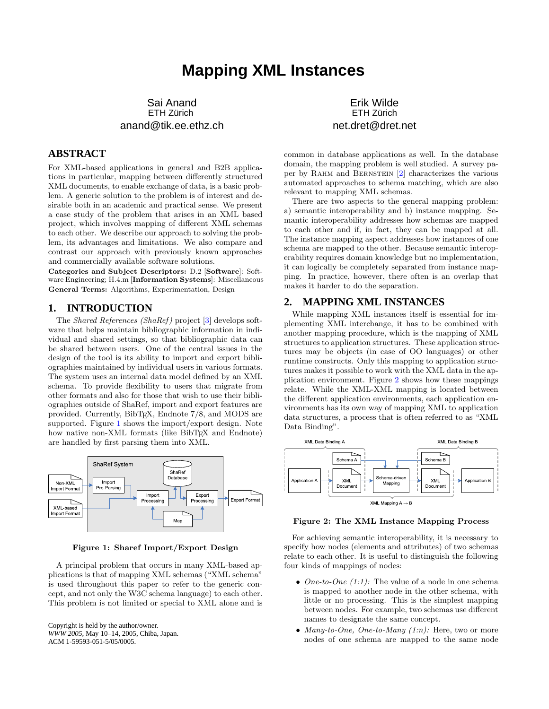# **Mapping XML Instances**

Sai Anand ETH Zürich anand@tik.ee.ethz.ch

## **ABSTRACT**

For XML-based applications in general and B2B applications in particular, mapping between differently structured XML documents, to enable exchange of data, is a basic problem. A generic solution to the problem is of interest and desirable both in an academic and practical sense. We present a case study of the problem that arises in an XML based project, which involves mapping of different XML schemas to each other. We describe our approach to solving the problem, its advantages and limitations. We also compare and contrast our approach with previously known approaches and commercially available software solutions.

Categories and Subject Descriptors: D.2 [Software]: Software Engineering; H.4.m [Information Systems]: Miscellaneous General Terms: Algorithms, Experimentation, Design

### **1. INTRODUCTION**

The *Shared References (ShaRef)* project  $[3]$  develops software that helps maintain bibliographic information in individual and shared settings, so that bibliographic data can be shared between users. One of the central issues in the design of the tool is its ability to import and export bibliographies maintained by individual users in various formats. The system uses an internal data model defined by an XML schema. To provide flexibility to users that migrate from other formats and also for those that wish to use their bibliographies outside of ShaRef, import and export features are provided. Currently, BibT<sub>E</sub>X, Endnote 7/8, and MODS are supported. Figure 1 shows the import/export design. Note how native non-XML formats (like BibT<sub>E</sub>X and Endnote) are handled by first parsing them into XML.



Figure 1: Sharef Import/Export Design

A principal problem that occurs in many XML-based applications is that of mapping XML schemas ("XML schema" is used throughout this paper to refer to the generic concept, and not only the W3C schema language) to each other. This problem is not limited or special to XML alone and is

Copyright is held by the author/owner. *WWW 2005,* May 10–14, 2005, Chiba, Japan. ACM 1-59593-051-5/05/0005.

Erik Wilde ETH Zürich net.dret@dret.net

common in database applications as well. In the database domain, the mapping problem is well studied. A survey pa-per by RAHM and BERNSTEIN [\[2\]](#page-1-0) characterizes the various automated approaches to schema matching, which are also relevant to mapping XML schemas.

There are two aspects to the general mapping problem: a) semantic interoperability and b) instance mapping. Semantic interoperability addresses how schemas are mapped to each other and if, in fact, they can be mapped at all. The instance mapping aspect addresses how instances of one schema are mapped to the other. Because semantic interoperability requires domain knowledge but no implementation, it can logically be completely separated from instance mapping. In practice, however, there often is an overlap that makes it harder to do the separation.

#### **2. MAPPING XML INSTANCES**

While mapping XML instances itself is essential for implementing XML interchange, it has to be combined with another mapping procedure, which is the mapping of XML structures to application structures. These application structures may be objects (in case of OO languages) or other runtime constructs. Only this mapping to application structures makes it possible to work with the XML data in the application environment. Figure 2 shows how these mappings relate. While the XML-XML mapping is located between the different application environments, each application environments has its own way of mapping XML to application data structures, a process that is often referred to as "XML Data Binding".



Figure 2: The XML Instance Mapping Process

For achieving semantic interoperability, it is necessary to specify how nodes (elements and attributes) of two schemas relate to each other. It is useful to distinguish the following four kinds of mappings of nodes:

- One-to-One  $(1:1)$ : The value of a node in one schema is mapped to another node in the other schema, with little or no processing. This is the simplest mapping between nodes. For example, two schemas use different names to designate the same concept.
- Many-to-One, One-to-Many  $(1:n)$ : Here, two or more nodes of one schema are mapped to the same node